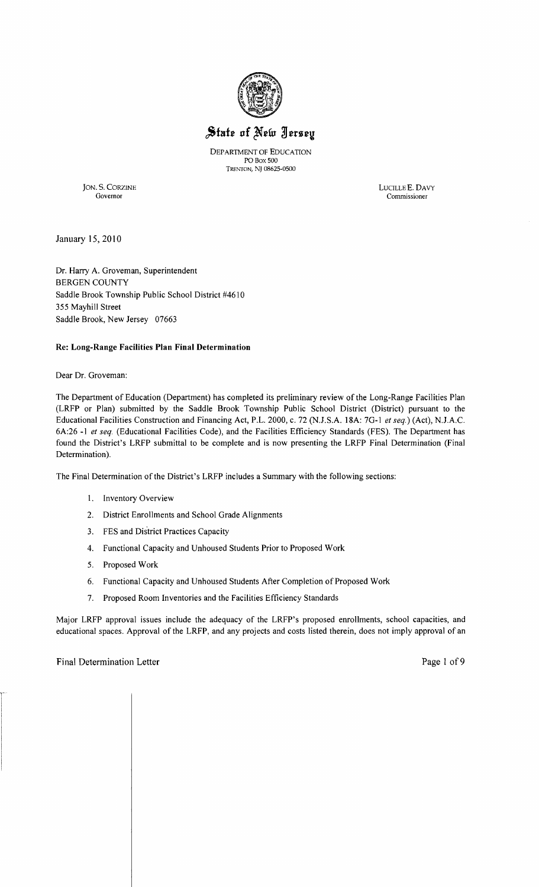

## State of New Jersey

DEPARTMENT OF EDUCATION POBox 500 TRENTON, NJ 08625-0500

JON. S. CORZINE LUCILLE E. DAVY Governor Commissioner

Governor Commissioner

January 15,2010

Dr. Harry A. Groveman, Superintendent BERGEN COUNTY Saddle Brook Township Public School District #4610 355 Mayhill Street Saddle Brook, New Jersey 07663

#### **Re: Long-Range Facilities Plan Final Determination**

Dear Dr. Groveman:

The Department of Education (Department) has completed its preliminary review of the Long-Range Facilities Plan (LRFP or Plan) submitted by the Saddle Brook Township Public School District (District) pursuant to the Educational Facilities Construction and Financing Act, P.L. 2000, c. 72 (NJ.S.A. l8A: 7G-l *et seq.)* (Act), NJ.A.C. 6A:26 **-I** *et seq.* (Educational Facilities Code), and the Facilities Efficiency Standards (FES). The Department has found the District's LRFP submittal to be complete and is now presenting the LRFP Final Determination (Final Determination).

The Final Determination of the District's LRFP includes a Summary with the following sections:

- 1. Inventory Overview
- 2. District Enrollments and School Grade Alignments
- 3. FES and District Practices Capacity
- 4. Functional Capacity and Unhoused Students Prior to Proposed Work
- 5. Proposed Work
- 6. Functional Capacity and Unhoused Students After Completion of Proposed Work
- 7. Proposed Room Inventories and the Facilities Efficiency Standards

Major LRFP approval issues include the adequacy of the LRFP's proposed enrollments, school capacities, and educational spaces. Approval of the LRFP, and any projects and costs listed therein, does not imply approval of an

#### Final Determination Letter **Page 1** of 9

 $\mathbf{I}$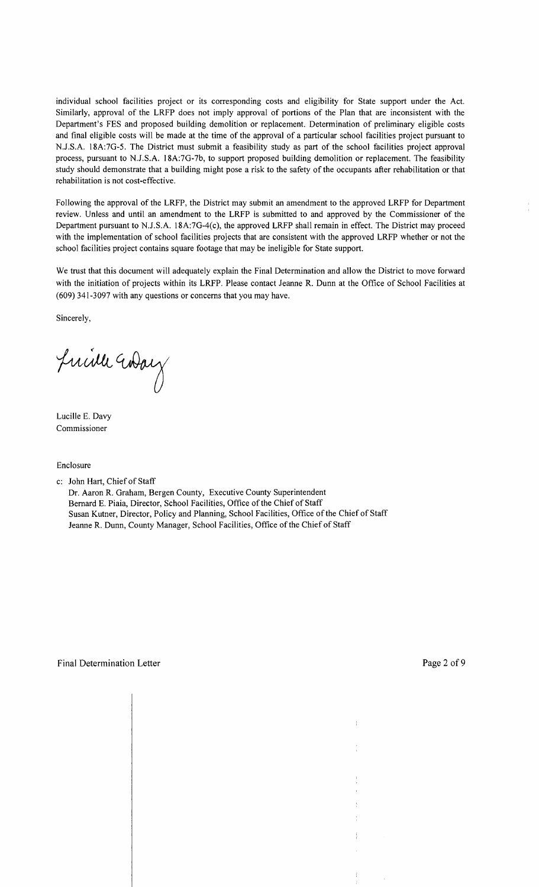individual school facilities project or its corresponding costs and eligibility for State support under the Act. Similarly, approval of the LRFP does not imply approval of portions of the Plan that are inconsistent with the Department's FES and proposed building demolition or replacement. Determination of preliminary eligible costs and final eligible costs will be made at the time of the approval of a particular school facilities project pursuant to N.J.S.A. 18A:7G-5. The District must submit a feasibility study as part of the school facilities project approval process, pursuant to N.J.S.A. 18A:7G-7b, to support proposed building demolition or replacement. The feasibility study should demonstrate that a building might pose a risk to the safety of the occupants after rehabilitation or that rehabilitation is not cost-effective.

Following the approval of the LRFP, the District may submit an amendment to the approved LRFP for Department review. Unless and until an amendment to the LRFP is submitted to and approved by the Commissioner of the Department pursuant to N.J.S.A. 18A:7G-4(c), the approved LRFP shall remain in effect. The District may proceed with the implementation of school facilities projects that are consistent with the approved LRFP whether or not the school facilities project contains square footage that may be ineligible for State support.

We trust that this document will adequately explain the Final Determination and allow the District to move forward with the initiation of projects within its LRFP. Please contact Jeanne R. Dunn at the Office of School Facilities at (609) 341-3097 with any questions or concerns that you may have.

Sincerely,

Juille Way

Lucille E. Davy Commissioner

Enclosure

c: John Hart, Chief of Staff

Dr. Aaron R. Graham, Bergen County, Executive County Superintendent Bernard E. Piaia, Director, School Facilities, Office of the Chief of Staff Susan Kutner, Director, Policy and Planning, School Facilities, Office of the Chief of Staff Jeanne R. Dunn, County Manager, School Facilities, Office of the Chief of Staff

 $\overline{1}$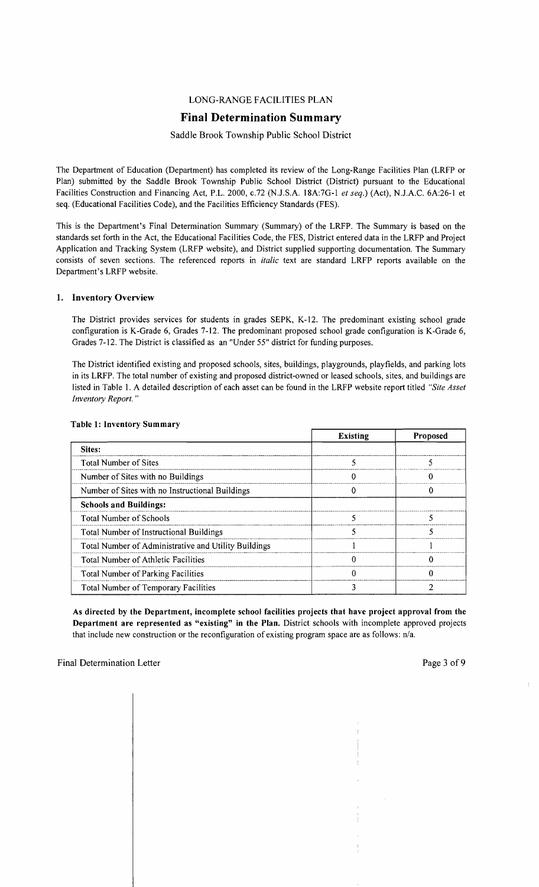#### LONG-RANGE FACILITIES PLAN

### **Final Determination Summary**

#### Saddle Brook Township Public School District

The Department of Education (Department) has completed its review of the Long-Range Facilities Plan (LRFP or Plan) submitted by the Saddle Brook Township Public School District (District) pursuant to the Educational Facilities Construction and Financing Act, P.L. 2000, *c.72* (N.J.S.A. 18A:7G-1 *et seq.*) (Act), N.J.A.C. 6A:26-1 et seq. (Educational Facilities Code), and the Facilities Efficiency Standards (FES).

This is the Department's Final Determination Summary (Summary) of the LRFP. The Summary is based on the standards set forth in the Act, the Educational Facilities Code, the FES, District entered data in the LRFP and Project Application and Tracking System (LRFP website), and District supplied supporting documentation. The Summary consists of seven sections. The referenced reports in *italic* text are standard LRFP reports available on the Department's LRFP website.

#### 1. Inventory Overview

The District provides services for students in grades SEPK, K-12. The predominant existing school grade configuration is K-Grade 6, Grades 7-12. The predominant proposed school grade configuration is K-Grade 6, Grades 7-12. The District is classified as an "Under 55" district for funding purposes.

The District identified existing and proposed schools, sites, buildings, playgrounds, playfields, and parking lots in its LRFP. The total number of existing and proposed district-owned or leased schools, sites, and buildings are listed in Table I. A detailed description of each asset can be found in the LRFP website report titled *"Site Asset Inventory Report. "* 

|                                                      | <b>Existing</b> | Proposed |
|------------------------------------------------------|-----------------|----------|
| Sites:                                               |                 |          |
| <b>Total Number of Sites</b>                         |                 |          |
| Number of Sites with no Buildings                    |                 |          |
| Number of Sites with no Instructional Buildings      |                 |          |
| <b>Schools and Buildings:</b>                        |                 |          |
| <b>Total Number of Schools</b>                       |                 |          |
| Total Number of Instructional Buildings              |                 |          |
| Total Number of Administrative and Utility Buildings |                 |          |
| <b>Total Number of Athletic Facilities</b>           |                 |          |
| <b>Total Number of Parking Facilities</b>            |                 |          |
| Total Number of Temporary Facilities                 |                 |          |

#### Table 1: Inventory Summary

As directed by the Department, incomplete school facilities projects that have project approval from the Department are represented as "existing" in the Plan. District schools with incomplete approved projects that include new construction or the reconfiguration of existing program space are as follows: n/a.

 $\overline{1}$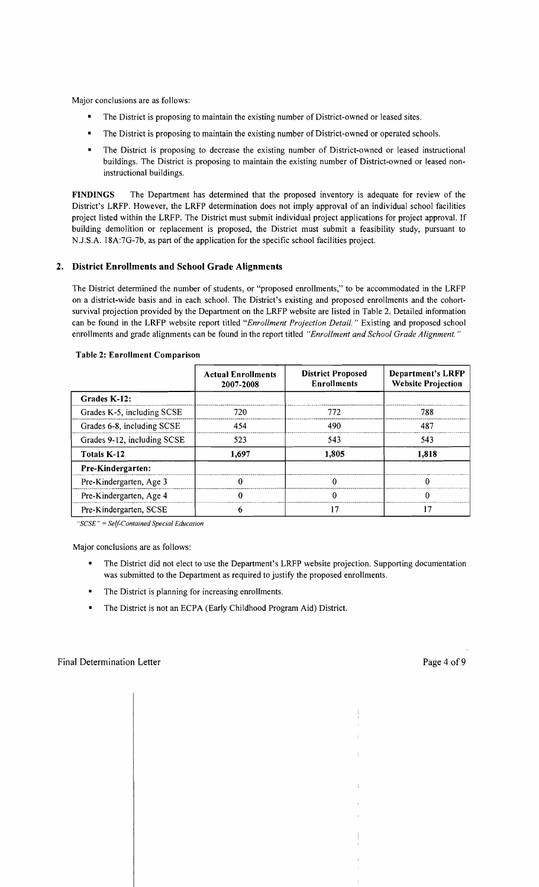Major conclusions are as follows:

- The District is proposing to maintain the existing number of District-owned or leased sites.
- The District is proposing to maintain the existing number of District-owned or operated schools.
- The District is proposing to decrease the existing number of District-owned or leased instructional buildings. The District is proposing to maintain the existing number of District-owned or leased noninstructional buildings.

FINDINGS The Department has determined that the proposed inventory is adequate for review of the District's LRFP. However, the LRFP determination does not imply approval of an individual school facilities project listed within the LRFP. The District must submit individual project applications for project approval. If building demolition or replacement is proposed, the District must submit a feasibility study, pursuant to N.J.S.A. 18A:7G-7b, as part of the application for the specific school facilities project.

#### 2. District Enrollments and School Grade Alignments

The District determined the number of students, or "proposed enrollments," to be accommodated in the LRFP on a district-wide basis and in each school. The District's existing and proposed enrollments and the cohortsurvival projection provided by the Department on the LRFP website are listed in Table 2. Detailed information can be found in the LRFP website report titled *"Enrollment Projection Detail.* " Existing and proposed school enrollments and grade alignments can be found in the report titled *"Enrollment and School Grade Alignment. "* 

|                             | <b>Actual Enrollments</b><br>2007-2008 | <b>District Proposed</b><br><b>Enrollments</b> | <b>Department's LRFP</b><br><b>Website Projection</b> |  |
|-----------------------------|----------------------------------------|------------------------------------------------|-------------------------------------------------------|--|
| Grades K-12:                |                                        |                                                |                                                       |  |
| Grades K-5, including SCSE  | 720                                    | 772                                            | 788                                                   |  |
| Grades 6-8, including SCSE  | 454                                    | 490                                            | 487                                                   |  |
| Grades 9-12, including SCSE | 523                                    | 543                                            | 543                                                   |  |
| Totals K-12                 | 1,697                                  | 1,805                                          | 1,818                                                 |  |
| Pre-Kindergarten:           |                                        |                                                |                                                       |  |
| Pre-Kindergarten, Age 3     | O                                      |                                                | Ω                                                     |  |
| Pre-Kindergarten, Age 4     | 0                                      |                                                | O                                                     |  |
| Pre-Kindergarten, SCSE      | h                                      | 17                                             | 17                                                    |  |

#### Table 2: Enrollment Comparison

*"SCSE"* = *Self-Contained Special Education* 

Major conclusions are as follows:

 $\mathbf{I}$ 

- The District did not elect to use the Department's LRFP website projection. Supporting documentation was submitted to the Department as required to justify the proposed enrollments.
- The District is planning for increasing enrollments.
- The District is not an ECPA (Early Childhood Program Aid) District.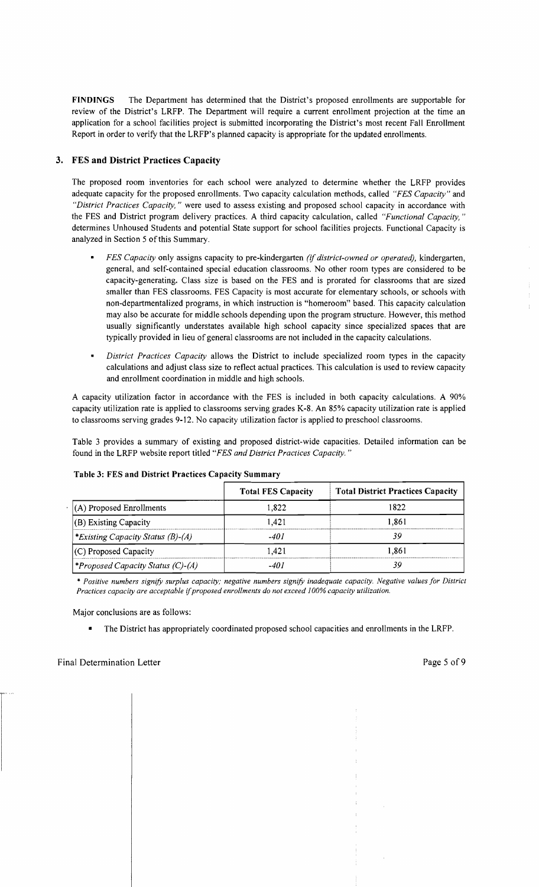FINDINGS The Department has determined that the District's proposed enrollments are supportable for review of the District's LRFP. The Department will require a current enrollment projection at the time an application for a school facilities project is submitted incorporating the District's most recent Fall Enrollment Report in order to verify that the LRFP's planned capacity is appropriate for the updated enrollments.

#### 3. FES and District Practices Capacity

The proposed room inventories for each school were analyzed to determine whether the LRFP provides adequate capacity for the proposed enrollments. Two capacity calculation methods, called *"FES Capacity"* and *"District Practices Capacity,* " were used to assess existing and proposed school capacity in accordance with the FES and District program delivery practices. A third capacity calculation, called *"Functional Capacity, "*  determines Unhoused Students and potential State support for school facilities projects. Functional Capacity is analyzed in Section 5 of this Summary.

- *FES Capacity* only assigns capacity to pre-kindergarten *(if district-owned or operated),* kindergarten, general, and self-contained special education classrooms. No other room types are considered to be capacity-generating. Class size is based on the FES and is prorated for classrooms that are sized smaller than FES classrooms. FES Capacity is most accurate for elementary schools, or schools with non-departmentalized programs, in which instruction is "homeroom" based. This capacity calculation may also be accurate for middle schools depending upon the program structure. However, this method usually significantly understates available high school capacity since specialized spaces that are typically provided in lieu of general classrooms are not included in the capacity calculations.
- *District Practices Capacity* allows the District to include specialized room types in the capacity calculations and adjust class size to reflect actual practices. This calculation is used to review capacity and enrollment coordination in middle and high schools.

A capacity utilization factor in accordance with the FES is included in both capacity calculations. A 90% capacity utilization rate is applied to classrooms serving grades K-8. An 85% capacity utilization rate is applied to classrooms serving grades 9-12. No capacity utilization factor is applied to preschool classrooms.

Table 3 provides a summary of existing and proposed district-wide capacities. Detailed information can be found in the LRFP website report titled *"FES and District Practices Capacity. "* 

|                                          | <b>Total FES Capacity</b> | <b>Total District Practices Capacity</b> |
|------------------------------------------|---------------------------|------------------------------------------|
| (A) Proposed Enrollments                 | 1.822                     | 1822                                     |
| (B) Existing Capacity                    | 1.421                     | 1.861                                    |
| *Existing Capacity Status (B)-(A)        | -401                      | 39                                       |
| (C) Proposed Capacity                    | 1.421                     | 1.861                                    |
| <i>*Proposed Capacity Status (C)-(A)</i> | -40 i                     | 39                                       |

#### Table 3: FES and District Practices Capacity Summary

\* *Positive numbers signifY surplus capacity; negative numbers signifY inadequate capacity. Negative values for District Practices capacity are acceptable ijproposed enrollments do not exceed 100% capacity utilization.* 

Major conclusions are as follows:

 $\overline{\phantom{a}}$ 

• The District has appropriately coordinated proposed school capacities and enrollments in the LRFP.

A.  $\pm$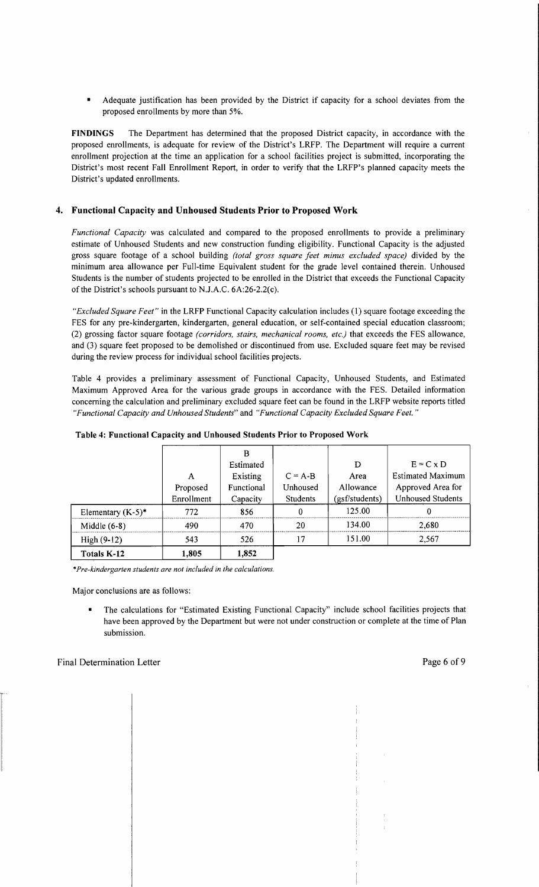Adequate justification has been provided by the District if capacity for a school deviates from the proposed enrollments by more than 5%.

**FINDINGS** The Department has determined that the proposed District capacity, in accordance with the proposed enrollments, is adequate for review of the District's LRFP. The Department will require a current enrollment projection at the time an application for a school facilities project is submitted, incorporating the District's most recent Fall Enrollment Report, in order to verify that the LRFP's planned capacity meets the District's updated enrollments.

#### **4. Functional Capacity and Unhoused Students Prior to Proposed Work**

*Functional Capacity* was calculated and compared to the proposed enrollments to provide a preliminary estimate of Unhoused Students and new construction funding eligibility. Functional Capacity is the adjusted gross square footage of a school building *(total gross square feet minus excluded space)* divided by the minimum area allowance per Full-time Equivalent student for the grade level contained therein. Unhoused Students is the number of students projected to be enrolled in the District that exceeds the Functional Capacity of the District's schools pursuant to N.J.A.C. 6A:26-2.2(c).

*"Excluded Square Feet"* in the LRFP Functional Capacity calculation includes (1) square footage exceeding the FES for any pre-kindergarten, kindergarten, general education, or self-contained special education classroom; (2) grossing factor square footage *(corridors, stairs, mechanical rooms, etc.)* that exceeds the FES allowance, and (3) square feet proposed to be demolished or discontinued from use. Excluded square feet may be revised during the review process for individual school facilities projects.

Table 4 provides a preliminary assessment of Functional Capacity, Unhoused Students, and Estimated Maximum Approved Area for the various grade groups in accordance with the FES. Detailed information concerning the calculation and preliminary excluded square feet can be found in the LRFP website reports titled *"Functional Capacity and Unhoused Students"* and *"Functional Capacity Excluded Square Feet. "* 

|                      |            | В          |                 |                |                          |
|----------------------|------------|------------|-----------------|----------------|--------------------------|
|                      |            | Estimated  |                 | D              | $E = C \times D$         |
|                      | A          | Existing   | $C = A - B$     | Area           | <b>Estimated Maximum</b> |
|                      | Proposed   | Functional | Unhoused        | Allowance      | Approved Area for        |
|                      | Enrollment | Capacity   | <b>Students</b> | (gsf/students) | <b>Unhoused Students</b> |
| Elementary $(K-5)^*$ | 772        | 856        |                 | 125.00         |                          |
| Middle $(6-8)$       | 490        | 470        | 20              | 134.00         | 2,680                    |
| $High (9-12)$        | 543        | 526        | 17              | 151.00         | 2,567                    |
| Totals K-12          | 1,805      | 1,852      |                 |                |                          |

\**Pre-kindergarten students are not included in the calculations.* 

Major conclusions are as follows:

• The calculations for "Estimated Existing Functional Capacity" include school facilities projects that have been approved by the Department but were not under construction or complete at the time of Plan submission.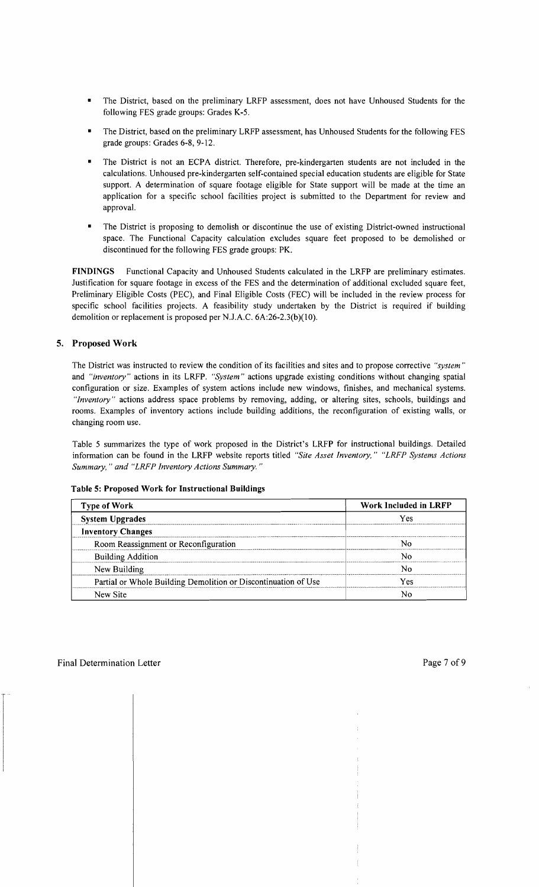- The District, based on the preliminary LRFP assessment, does not have Unhoused Students for the following FES grade groups: Grades K-5.
- The District, based on the preliminary LRFP assessment, has Unhoused Students for the following FES grade groups: Grades 6-8, 9-12.
- The District is not an ECPA district. Therefore, pre-kindergarten students are not included in the calculations. Unhoused pre-kindergarten self-contained special education students are eligible for State support. A determination of square footage eligible for State support will be made at the time an application for a specific school facilities project is submitted to the Department for review and approval.
- The District is proposing to demolish or discontinue the use of existing District-owned instructional space. The Functional Capacity calculation excludes square feet proposed to be demolished or discontinued for the following FES grade groups: PK.

FINDINGS Functional Capacity and Unhoused Students calculated in the LRFP are preliminary estimates. Justification for square footage in excess of the FES and the determination of additional excluded square feet, Preliminary Eligible Costs (PEC), and Final Eligible Costs (FEC) will be included in the review process for specific school facilities projects. A feasibility study undertaken by the District is required if building demolition or replacement is proposed per N.J.A.C. 6A:26-2.3(b)(10).

#### 5. Proposed Work

The District was instructed to review the condition of its facilities and sites and to propose corrective *"system"*  and *"inventory"* actions in its LRFP. *"System"* actions upgrade existing conditions without changing spatial configuration or size. Examples of system actions include new windows, finishes, and mechanical systems. *"Inventory"* actions address space problems by removing, adding, or altering sites, schools, buildings and rooms. Examples of inventory actions include building additions, the reconfiguration of existing walls, or changing room use.

Table 5 summarizes the type of work proposed in the District's LRFP for instructional buildings. Detailed information can be found in the LRFP website reports titled *"Site Asset Inventory," "LRFP Systems Actions Summary,* " *and "LRFP Inventory Actions Summary. "* 

#### Table 5: Proposed Work for Instructional Buildings

| <b>Type of Work</b>                                            | Work Included in LRFP |
|----------------------------------------------------------------|-----------------------|
| <b>System Upgrades</b>                                         | Yes                   |
| <b>Inventory Changes</b>                                       |                       |
| Room Reassignment or Reconfiguration                           |                       |
| <b>Building Addition</b>                                       |                       |
| New Building                                                   |                       |
| Partial or Whole Building Demolition or Discontinuation of Use | Yes                   |
| New Site                                                       |                       |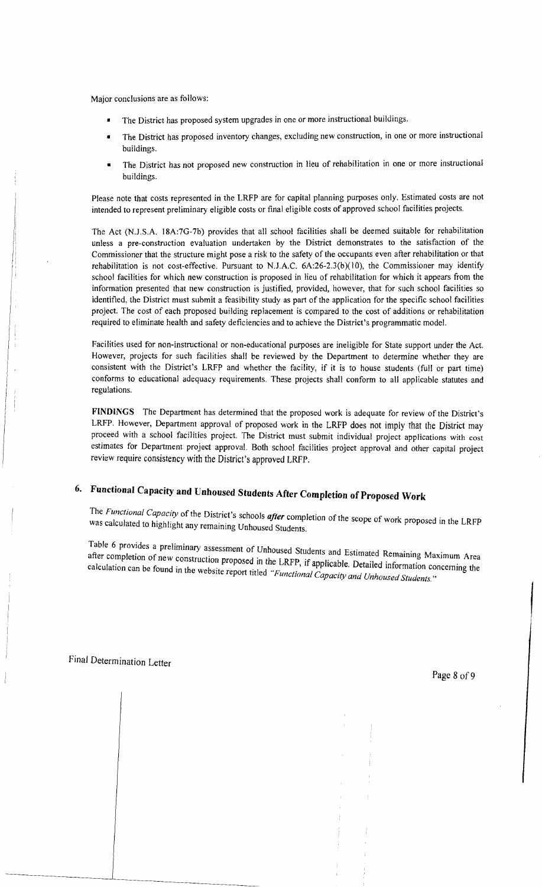Major conclusions are as follows:

- The District has proposed system upgrades in one or more instructional buildings.
- • The District has proposed inventory changes, excluding new construction, in one or more instructional buildings.
- • The District has not proposed new construction in lieu of rehabilitation in one or more instructional buildings.

Please note that costs represented in the LRFP are for capital planning purposes only. Estimated costs are not intended to represent preliminary eligible costs or final eligible costs of approved school facilities projects.

The Act (NJ.S.A. 18A:7G-7b) provides that all school facilities shall be deemed suitable for rehabilitation unless a pre-construction evaluation undertaken by the District demonstrates to the satisfaction of the Commissioner that the structure might pose a risk to the safety of the occupants even after rehabilitation or that rehabilitation is not cost-effective. Pursuant to N.J.A.C.  $6A:26-2.3(b)(10)$ , the Commissioner may identify school facilities for which new construction is proposed in lieu of rehabilitation for which it appears from the information presented that new construction is justified, provided, however, that for such school facilities so identified, the District must submit a feasibility study as part of the application for the specific school facilities project. The cost of each proposed building replacement is compared to the cost of additions or rehabilitation required to eliminate health and safety deficiencies and to achieve the District's programmatic model.

Facilities used for non-instructional or non-educational purposes are ineligible for State support under the Act. However, projects for such facilities shall be reviewed by the Department to determine whether they are consistent with the District's LRFP and whether the facility, if it is to house students (full or part time) conforms to educational adequacy requirements. These projects shall conform to all applicable statutes and regulations.

**FINDINGS** The Department has determined that the proposed work is adequate for review of the District's LRFP. However, Department approval of proposed work in the LRFP does not imply that the District may proceed with a school facilities project. The District must submit individual project applications with cost estimates for Department project approval. Both school facilities project approval and other capital project review require consistency with the District's approved LRFP.

# **6. Functional Capacity and Unhoused StUdents After Completion** of Proposed **Work**

The Functional Capacity of the District's schools after completion of the scope of work proposed in the LRFP was calculated to highlight any remaining Unhoused Students.

Table 6 provides a preliminary assessment of Unhoused Students and Ectivents 1 p after completion of new construction proposed in the LRFP  $\mathcal{E}_{\text{new}}$  is and Estimated Remaining Maximum Area after completion of new construction proposed in the LRFP, if applicable. Detailed information concerning the calculation can be found in the website report titled "Functional Capacity and Unhoused Students."

 $\mathbf{I}$